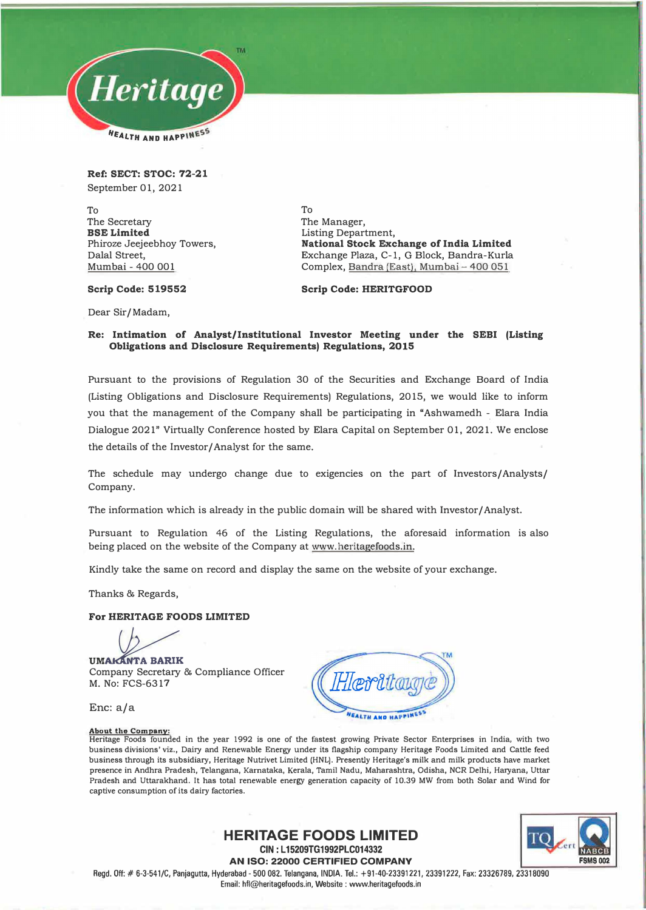

**Ref: SECT: STOC: 72-21**  September 01, 2021

To The Secretary **BSE Limited**  Phiroze Jeejeebhoy Towers, Dalal Street, Mumbai - 400 001

To The Manager, Listing Department, **National Stock Exchange of India Limited**  Exchange Plaza, C-1, G Block, Bandra-Kurla Complex, Bandra (East), Mumbai - 400 051

**Scrip Code: 519552** 

**Scrip Code: HERITGFOOD** 

Dear Sir/ Madam,

## **Re: Intimation of Analyst/Institutional Investor Meeting under the SEBI (Listing Obligations and Disclosure Requirements) Regulations, 2015**

Pursuant to the provisions of Regulation 30 of the Securities and Exchange Board of India (Listing Obligations and Disclosure Requirements) Regulations, 2015, we would like to inform you that the management of the Company shall be participating in "Ashwamedh - Elara India Dialogue 2021" Virtually Conference hosted by Elara Capital on September 01, 2021. We enclose the details of the Investor/ Analyst for the same.

The schedule may undergo change due to exigencies on the part of Investors/ Analysts/ Company.

The information which is already in the public domain will be shared with Investor/ Analyst.

Pursuant to Regulation 46 of the Listing Regulations, the aforesaid information is also being placed on the website of the Company at www.heritagefoods.in.

Kindly take the same on record and display the same on the website of your exchange.

Thanks & Regards,

## **For HERITAGE FOODS LIMITED**

**UMAKANTA BARIK** Company Secretary & Compliance Officer M. No: FCS-6317

Enc: a/a

#### **About the Company:**

**Heritage Foods founded in the year 1992 is one of the fastest growing Private Sector Enterprises in India, with two**  business divisions' viz., Dairy and Renewable Energy under its flagship company Heritage Foods Limited and Cattle feed **business through its subsidiary, Heritage Nutrivet Limited (HNL). Presently Heritage's milk and milk products have market presence in Andhra Pradesh, Telangana, Kamataka, Kerala, Tamil Nadu, Maharashtra, Odisha, NCR Delhi, Haryana, Uttar Pradesh and Uttarakhand. It has total renewable energy generation capacity of 10.39 MW from both Solar and Wind for captive consumption of its dairy factories.** 

> TО **FSMS002**

**AN ISO: 22000 CERTIFIED COMPANY**  Regd. Off:# 6-3-541/C, Panjagutta, Hyderabad- 500 082. Telangana, INDIA. Tel.: +91-40-23391221, 23391222, Fax: 23326789, 23318090 Email: hfl@heritagefoods.in, Website : www.heritagefoods.in

**HERITAGE FOODS LIMITED CIN: L15209TG1992PLC014332**